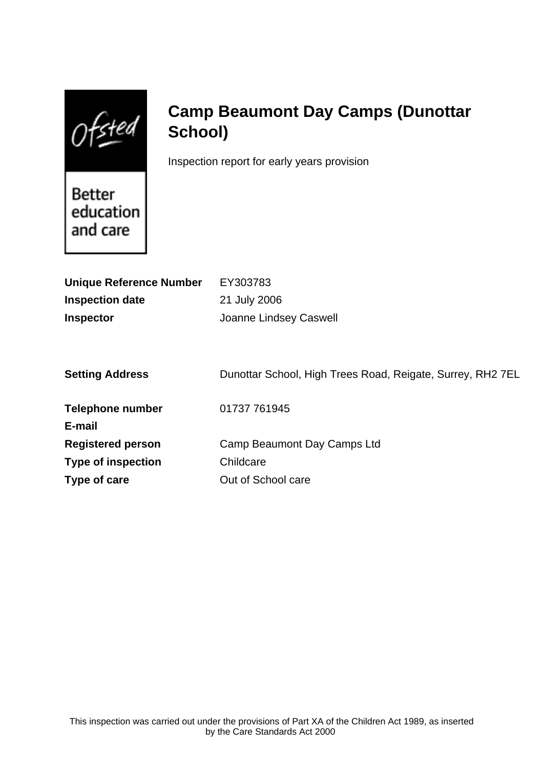Ofsted

# **Camp Beaumont Day Camps (Dunottar School)**

Inspection report for early years provision

Better education and care

| <b>Unique Reference Number</b> | EY303783                                                   |
|--------------------------------|------------------------------------------------------------|
| <b>Inspection date</b>         | 21 July 2006                                               |
| <b>Inspector</b>               | <b>Joanne Lindsey Caswell</b>                              |
|                                |                                                            |
| <b>Setting Address</b>         | Dunottar School, High Trees Road, Reigate, Surrey, RH2 7EL |
| <b>Telephone number</b>        | 01737 761945                                               |
| E-mail                         |                                                            |
| <b>Registered person</b>       | Camp Beaumont Day Camps Ltd                                |
| <b>Type of inspection</b>      | Childcare                                                  |
| Type of care                   | Out of School care                                         |
|                                |                                                            |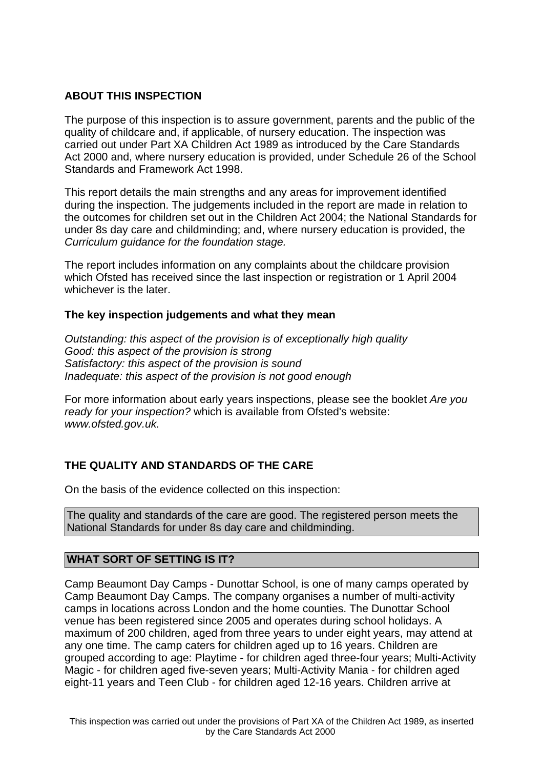# **ABOUT THIS INSPECTION**

The purpose of this inspection is to assure government, parents and the public of the quality of childcare and, if applicable, of nursery education. The inspection was carried out under Part XA Children Act 1989 as introduced by the Care Standards Act 2000 and, where nursery education is provided, under Schedule 26 of the School Standards and Framework Act 1998.

This report details the main strengths and any areas for improvement identified during the inspection. The judgements included in the report are made in relation to the outcomes for children set out in the Children Act 2004; the National Standards for under 8s day care and childminding; and, where nursery education is provided, the Curriculum guidance for the foundation stage.

The report includes information on any complaints about the childcare provision which Ofsted has received since the last inspection or registration or 1 April 2004 whichever is the later.

## **The key inspection judgements and what they mean**

Outstanding: this aspect of the provision is of exceptionally high quality Good: this aspect of the provision is strong Satisfactory: this aspect of the provision is sound Inadequate: this aspect of the provision is not good enough

For more information about early years inspections, please see the booklet Are you ready for your inspection? which is available from Ofsted's website: www.ofsted.gov.uk.

# **THE QUALITY AND STANDARDS OF THE CARE**

On the basis of the evidence collected on this inspection:

The quality and standards of the care are good. The registered person meets the National Standards for under 8s day care and childminding.

# **WHAT SORT OF SETTING IS IT?**

Camp Beaumont Day Camps - Dunottar School, is one of many camps operated by Camp Beaumont Day Camps. The company organises a number of multi-activity camps in locations across London and the home counties. The Dunottar School venue has been registered since 2005 and operates during school holidays. A maximum of 200 children, aged from three years to under eight years, may attend at any one time. The camp caters for children aged up to 16 years. Children are grouped according to age: Playtime - for children aged three-four years; Multi-Activity Magic - for children aged five-seven years; Multi-Activity Mania - for children aged eight-11 years and Teen Club - for children aged 12-16 years. Children arrive at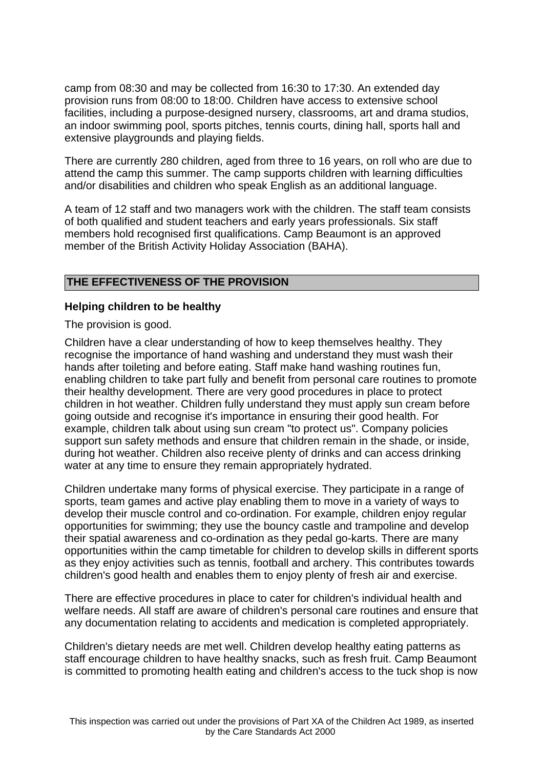camp from 08:30 and may be collected from 16:30 to 17:30. An extended day provision runs from 08:00 to 18:00. Children have access to extensive school facilities, including a purpose-designed nursery, classrooms, art and drama studios, an indoor swimming pool, sports pitches, tennis courts, dining hall, sports hall and extensive playgrounds and playing fields.

There are currently 280 children, aged from three to 16 years, on roll who are due to attend the camp this summer. The camp supports children with learning difficulties and/or disabilities and children who speak English as an additional language.

A team of 12 staff and two managers work with the children. The staff team consists of both qualified and student teachers and early years professionals. Six staff members hold recognised first qualifications. Camp Beaumont is an approved member of the British Activity Holiday Association (BAHA).

# **THE EFFECTIVENESS OF THE PROVISION**

#### **Helping children to be healthy**

The provision is good.

Children have a clear understanding of how to keep themselves healthy. They recognise the importance of hand washing and understand they must wash their hands after toileting and before eating. Staff make hand washing routines fun, enabling children to take part fully and benefit from personal care routines to promote their healthy development. There are very good procedures in place to protect children in hot weather. Children fully understand they must apply sun cream before going outside and recognise it's importance in ensuring their good health. For example, children talk about using sun cream "to protect us". Company policies support sun safety methods and ensure that children remain in the shade, or inside, during hot weather. Children also receive plenty of drinks and can access drinking water at any time to ensure they remain appropriately hydrated.

Children undertake many forms of physical exercise. They participate in a range of sports, team games and active play enabling them to move in a variety of ways to develop their muscle control and co-ordination. For example, children enjoy regular opportunities for swimming; they use the bouncy castle and trampoline and develop their spatial awareness and co-ordination as they pedal go-karts. There are many opportunities within the camp timetable for children to develop skills in different sports as they enjoy activities such as tennis, football and archery. This contributes towards children's good health and enables them to enjoy plenty of fresh air and exercise.

There are effective procedures in place to cater for children's individual health and welfare needs. All staff are aware of children's personal care routines and ensure that any documentation relating to accidents and medication is completed appropriately.

Children's dietary needs are met well. Children develop healthy eating patterns as staff encourage children to have healthy snacks, such as fresh fruit. Camp Beaumont is committed to promoting health eating and children's access to the tuck shop is now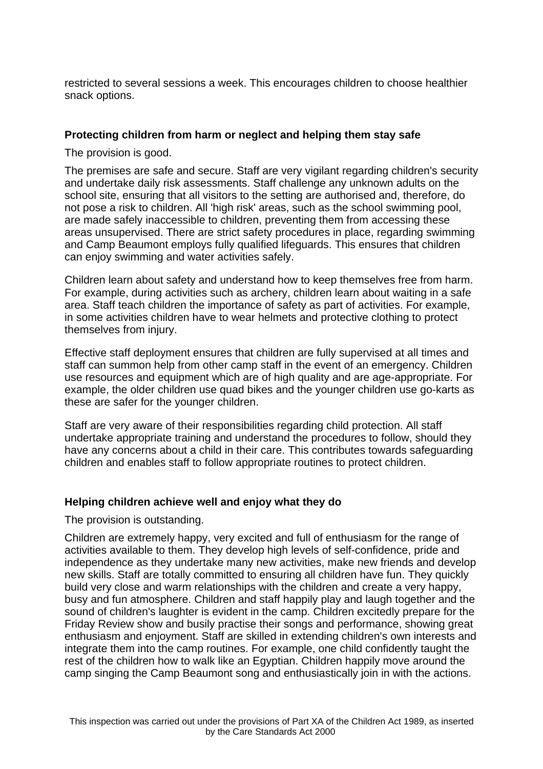restricted to several sessions a week. This encourages children to choose healthier snack options.

## **Protecting children from harm or neglect and helping them stay safe**

The provision is good.

The premises are safe and secure. Staff are very vigilant regarding children's security and undertake daily risk assessments. Staff challenge any unknown adults on the school site, ensuring that all visitors to the setting are authorised and, therefore, do not pose a risk to children. All 'high risk' areas, such as the school swimming pool, are made safely inaccessible to children, preventing them from accessing these areas unsupervised. There are strict safety procedures in place, regarding swimming and Camp Beaumont employs fully qualified lifeguards. This ensures that children can enjoy swimming and water activities safely.

Children learn about safety and understand how to keep themselves free from harm. For example, during activities such as archery, children learn about waiting in a safe area. Staff teach children the importance of safety as part of activities. For example, in some activities children have to wear helmets and protective clothing to protect themselves from injury.

Effective staff deployment ensures that children are fully supervised at all times and staff can summon help from other camp staff in the event of an emergency. Children use resources and equipment which are of high quality and are age-appropriate. For example, the older children use quad bikes and the younger children use go-karts as these are safer for the younger children.

Staff are very aware of their responsibilities regarding child protection. All staff undertake appropriate training and understand the procedures to follow, should they have any concerns about a child in their care. This contributes towards safeguarding children and enables staff to follow appropriate routines to protect children.

## **Helping children achieve well and enjoy what they do**

The provision is outstanding.

Children are extremely happy, very excited and full of enthusiasm for the range of activities available to them. They develop high levels of self-confidence, pride and independence as they undertake many new activities, make new friends and develop new skills. Staff are totally committed to ensuring all children have fun. They quickly build very close and warm relationships with the children and create a very happy, busy and fun atmosphere. Children and staff happily play and laugh together and the sound of children's laughter is evident in the camp. Children excitedly prepare for the Friday Review show and busily practise their songs and performance, showing great enthusiasm and enjoyment. Staff are skilled in extending children's own interests and integrate them into the camp routines. For example, one child confidently taught the rest of the children how to walk like an Egyptian. Children happily move around the camp singing the Camp Beaumont song and enthusiastically join in with the actions.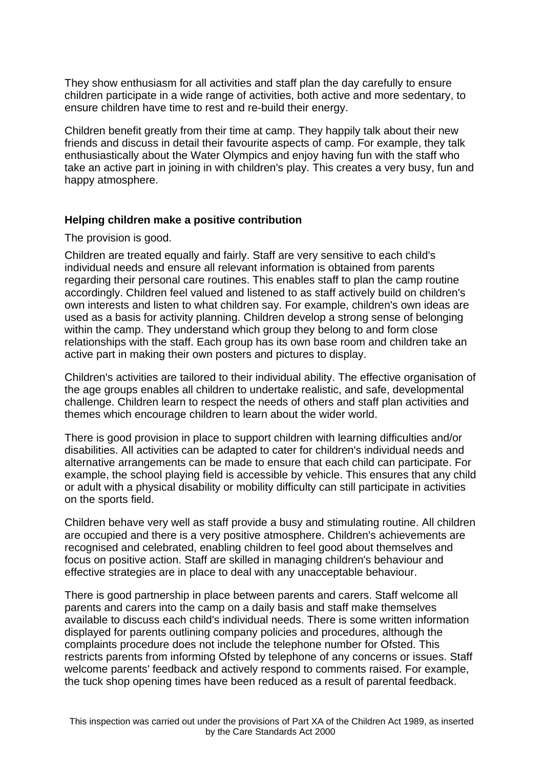They show enthusiasm for all activities and staff plan the day carefully to ensure children participate in a wide range of activities, both active and more sedentary, to ensure children have time to rest and re-build their energy.

Children benefit greatly from their time at camp. They happily talk about their new friends and discuss in detail their favourite aspects of camp. For example, they talk enthusiastically about the Water Olympics and enjoy having fun with the staff who take an active part in joining in with children's play. This creates a very busy, fun and happy atmosphere.

#### **Helping children make a positive contribution**

#### The provision is good.

Children are treated equally and fairly. Staff are very sensitive to each child's individual needs and ensure all relevant information is obtained from parents regarding their personal care routines. This enables staff to plan the camp routine accordingly. Children feel valued and listened to as staff actively build on children's own interests and listen to what children say. For example, children's own ideas are used as a basis for activity planning. Children develop a strong sense of belonging within the camp. They understand which group they belong to and form close relationships with the staff. Each group has its own base room and children take an active part in making their own posters and pictures to display.

Children's activities are tailored to their individual ability. The effective organisation of the age groups enables all children to undertake realistic, and safe, developmental challenge. Children learn to respect the needs of others and staff plan activities and themes which encourage children to learn about the wider world.

There is good provision in place to support children with learning difficulties and/or disabilities. All activities can be adapted to cater for children's individual needs and alternative arrangements can be made to ensure that each child can participate. For example, the school playing field is accessible by vehicle. This ensures that any child or adult with a physical disability or mobility difficulty can still participate in activities on the sports field.

Children behave very well as staff provide a busy and stimulating routine. All children are occupied and there is a very positive atmosphere. Children's achievements are recognised and celebrated, enabling children to feel good about themselves and focus on positive action. Staff are skilled in managing children's behaviour and effective strategies are in place to deal with any unacceptable behaviour.

There is good partnership in place between parents and carers. Staff welcome all parents and carers into the camp on a daily basis and staff make themselves available to discuss each child's individual needs. There is some written information displayed for parents outlining company policies and procedures, although the complaints procedure does not include the telephone number for Ofsted. This restricts parents from informing Ofsted by telephone of any concerns or issues. Staff welcome parents' feedback and actively respond to comments raised. For example, the tuck shop opening times have been reduced as a result of parental feedback.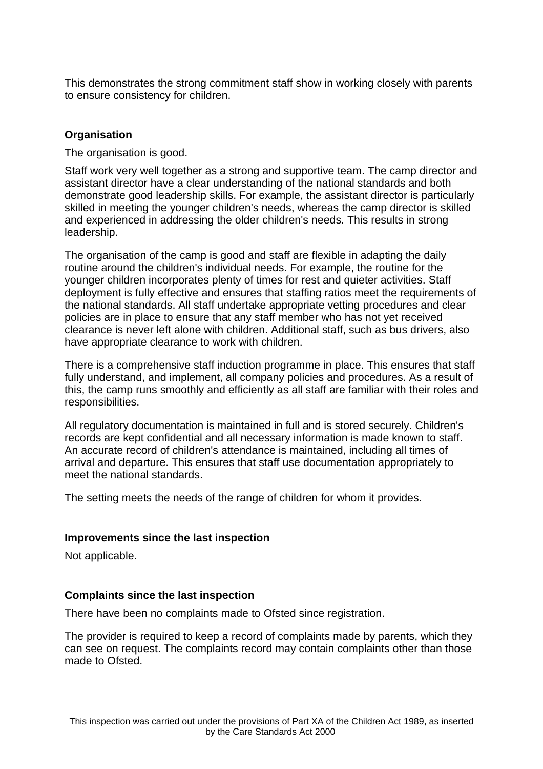This demonstrates the strong commitment staff show in working closely with parents to ensure consistency for children.

# **Organisation**

The organisation is good.

Staff work very well together as a strong and supportive team. The camp director and assistant director have a clear understanding of the national standards and both demonstrate good leadership skills. For example, the assistant director is particularly skilled in meeting the younger children's needs, whereas the camp director is skilled and experienced in addressing the older children's needs. This results in strong leadership.

The organisation of the camp is good and staff are flexible in adapting the daily routine around the children's individual needs. For example, the routine for the younger children incorporates plenty of times for rest and quieter activities. Staff deployment is fully effective and ensures that staffing ratios meet the requirements of the national standards. All staff undertake appropriate vetting procedures and clear policies are in place to ensure that any staff member who has not yet received clearance is never left alone with children. Additional staff, such as bus drivers, also have appropriate clearance to work with children.

There is a comprehensive staff induction programme in place. This ensures that staff fully understand, and implement, all company policies and procedures. As a result of this, the camp runs smoothly and efficiently as all staff are familiar with their roles and responsibilities.

All regulatory documentation is maintained in full and is stored securely. Children's records are kept confidential and all necessary information is made known to staff. An accurate record of children's attendance is maintained, including all times of arrival and departure. This ensures that staff use documentation appropriately to meet the national standards.

The setting meets the needs of the range of children for whom it provides.

## **Improvements since the last inspection**

Not applicable.

## **Complaints since the last inspection**

There have been no complaints made to Ofsted since registration.

The provider is required to keep a record of complaints made by parents, which they can see on request. The complaints record may contain complaints other than those made to Ofsted.